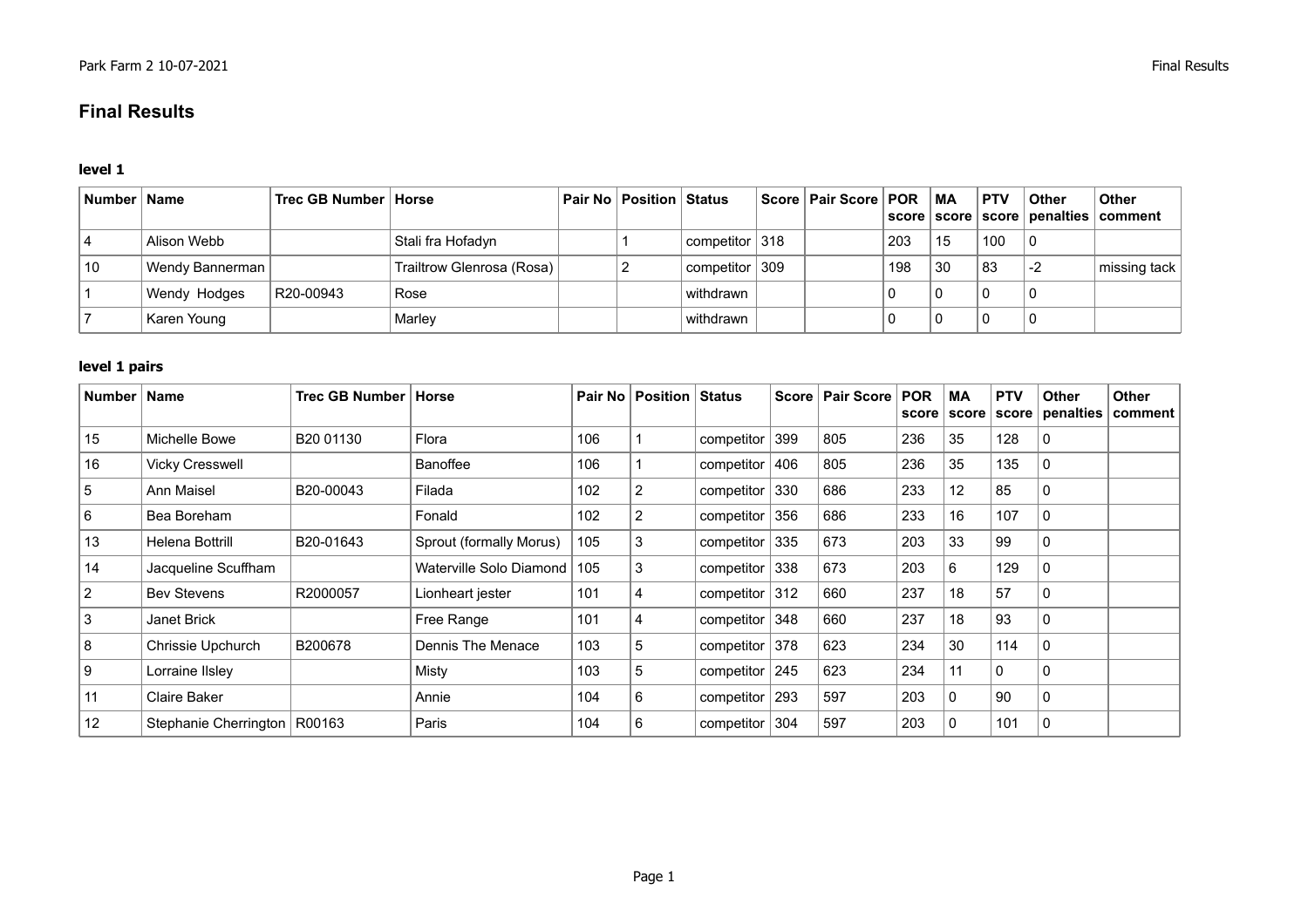## **Final Results**

## **level 1**

| ∣ Number ∣ Name |                           | Trec GB Number   Horse |                           | Pair No   Position   Status |                                    | Score   Pair Score   POR   MA |     |                | <b>PTV</b> | Other | <b>Other</b><br>score   score   score   penalties   comment |
|-----------------|---------------------------|------------------------|---------------------------|-----------------------------|------------------------------------|-------------------------------|-----|----------------|------------|-------|-------------------------------------------------------------|
|                 | Alison Webb               |                        | Stali fra Hofadyn         |                             | competitor 318                     |                               | 203 | 15             | 100        | 0     |                                                             |
| 10              | Wendy Bannerman           |                        | Trailtrow Glenrosa (Rosa) |                             | $\sqrt{2}$ competitor $\sqrt{309}$ |                               | 198 | $^{\prime}$ 30 | 83         | $-2$  | missing tack                                                |
|                 | R20-00943<br>Wendy Hodges |                        | Rose                      |                             | withdrawn                          |                               |     | υ              |            | 0     |                                                             |
|                 | Karen Young               |                        | Marley                    |                             | withdrawn                          |                               |     | υ              |            |       |                                                             |

## **level 1 pairs**

| <b>Number</b> | <b>Name</b>                    | Trec GB Number   Horse |                               |     | Pair No   Position   Status |                    |     | Score   Pair Score | <b>POR</b> | <b>MA</b><br>score score | <b>PTV</b><br>score | <b>Other</b><br>penalties | <b>Other</b><br>comment |
|---------------|--------------------------------|------------------------|-------------------------------|-----|-----------------------------|--------------------|-----|--------------------|------------|--------------------------|---------------------|---------------------------|-------------------------|
| 15            | Michelle Bowe                  | B <sub>20</sub> 01130  | Flora                         | 106 |                             | competitor         | 399 | 805                | 236        | 35                       | 128                 | 0                         |                         |
| 16            | <b>Vicky Cresswell</b>         |                        | Banoffee                      | 106 |                             | competitor         | 406 | 805                | 236        | 35                       | 135                 | 0                         |                         |
| 5             | <b>Ann Maisel</b>              | B20-00043              | Filada                        | 102 | $\overline{2}$              | competitor         | 330 | 686                | 233        | 12                       | 85                  | 0                         |                         |
| 6             | Bea Boreham                    |                        | Fonald                        | 102 | $\overline{2}$              | competitor         | 356 | 686                | 233        | 16                       | 107                 | 0                         |                         |
| 13            | Helena Bottrill                | B20-01643              | Sprout (formally Morus)       | 105 | 3                           | competitor         | 335 | 673                | 203        | 33                       | 99                  | 0                         |                         |
| 14            | Jacqueline Scuffham            |                        | Waterville Solo Diamond   105 |     | 3                           | competitor         | 338 | 673                | 203        | 6                        | 129                 | 0                         |                         |
| 2             | <b>Bev Stevens</b>             | R2000057               | Lionheart jester              | 101 | 4                           | competitor $ 312 $ |     | 660                | 237        | 18                       | 57                  | 0                         |                         |
| 3             | Janet Brick                    |                        | Free Range                    | 101 | 4                           | competitor         | 348 | 660                | 237        | 18                       | 93                  | 0                         |                         |
| 8             | Chrissie Upchurch              | B200678                | Dennis The Menace             | 103 | 5                           | competitor $378$   |     | 623                | 234        | 30                       | 114                 | 0                         |                         |
| 9             | Lorraine IIsley                |                        | Misty                         | 103 | 5                           | competitor         | 245 | 623                | 234        | 11                       | 0                   | 0                         |                         |
| 11            | <b>Claire Baker</b>            |                        | Annie                         | 104 | 6                           | componentor        | 293 | 597                | 203        | 0                        | 90                  | 0                         |                         |
| 12            | Stephanie Cherrington   R00163 |                        | Paris                         | 104 | 6                           | competitor         | 304 | 597                | 203        | 0                        | 101                 | 0                         |                         |